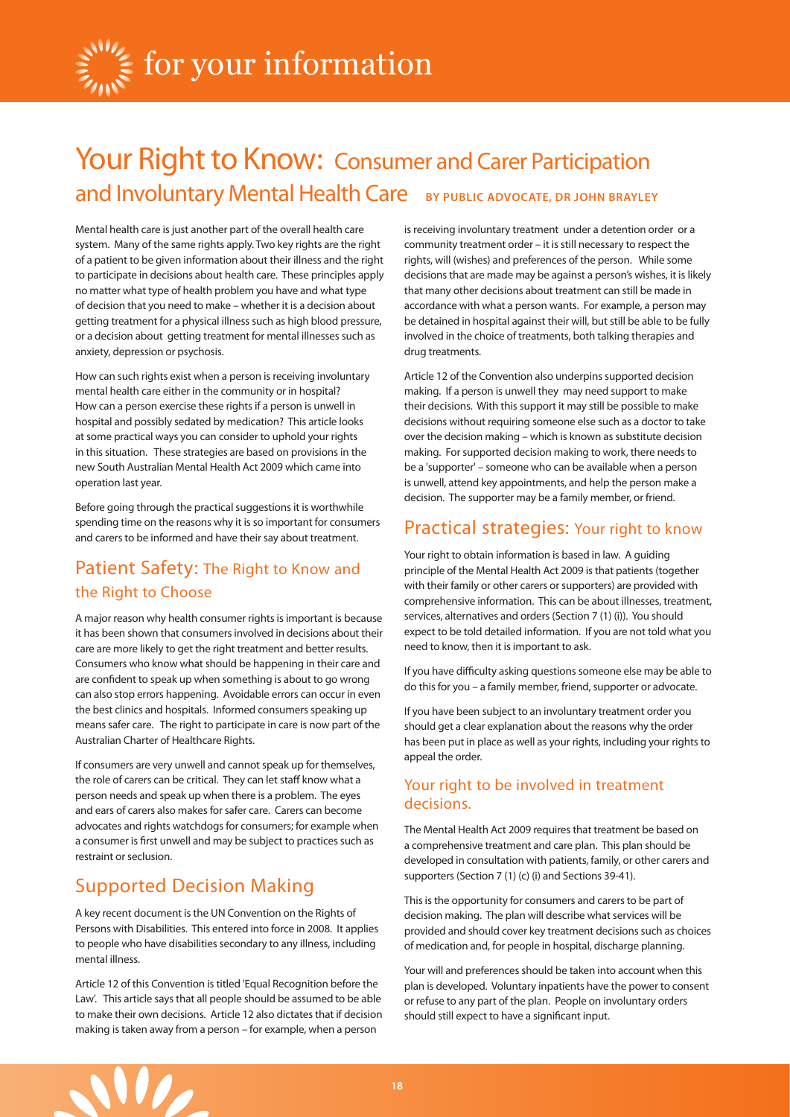

# Your Right to Know: Consumer and Carer Participation and Involuntary Mental Health Care **by Public Advocate, Dr John Brayley**

Mental health care is just another part of the overall health care system. Many of the same rights apply. Two key rights are the right of a patient to be given information about their illness and the right to participate in decisions about health care. These principles apply no matter what type of health problem you have and what type of decision that you need to make – whether it is a decision about getting treatment for a physical illness such as high blood pressure, or a decision about getting treatment for mental illnesses such as anxiety, depression or psychosis.

How can such rights exist when a person is receiving involuntary mental health care either in the community or in hospital? How can a person exercise these rights if a person is unwell in hospital and possibly sedated by medication? This article looks at some practical ways you can consider to uphold your rights in this situation. These strategies are based on provisions in the new South Australian Mental Health Act 2009 which came into operation last year.

Before going through the practical suggestions it is worthwhile spending time on the reasons why it is so important for consumers and carers to be informed and have their say about treatment.

# Patient Safety: The Right to Know and the Right to Choose

A major reason why health consumer rights is important is because it has been shown that consumers involved in decisions about their care are more likely to get the right treatment and better results. Consumers who know what should be happening in their care and are confident to speak up when something is about to go wrong can also stop errors happening. Avoidable errors can occur in even the best clinics and hospitals. Informed consumers speaking up means safer care. The right to participate in care is now part of the Australian Charter of Healthcare Rights.

If consumers are very unwell and cannot speak up for themselves, the role of carers can be critical. They can let staff know what a person needs and speak up when there is a problem. The eyes and ears of carers also makes for safer care. Carers can become advocates and rights watchdogs for consumers; for example when a consumer is first unwell and may be subject to practices such as restraint or seclusion.

## Supported Decision Making

A key recent document is the UN Convention on the Rights of Persons with Disabilities. This entered into force in 2008. It applies to people who have disabilities secondary to any illness, including mental illness.

Article 12 of this Convention is titled 'Equal Recognition before the Law'. This article says that all people should be assumed to be able to make their own decisions. Article 12 also dictates that if decision making is taken away from a person – for example, when a person

is receiving involuntary treatment under a detention order or a community treatment order – it is still necessary to respect the rights, will (wishes) and preferences of the person. While some decisions that are made may be against a person's wishes, it is likely that many other decisions about treatment can still be made in accordance with what a person wants. For example, a person may be detained in hospital against their will, but still be able to be fully involved in the choice of treatments, both talking therapies and drug treatments.

Article 12 of the Convention also underpins supported decision making. If a person is unwell they may need support to make their decisions. With this support it may still be possible to make decisions without requiring someone else such as a doctor to take over the decision making – which is known as substitute decision making. For supported decision making to work, there needs to be a 'supporter' – someone who can be available when a person is unwell, attend key appointments, and help the person make a decision. The supporter may be a family member, or friend.

### Practical strategies: Your right to know

Your right to obtain information is based in law. A guiding principle of the Mental Health Act 2009 is that patients (together with their family or other carers or supporters) are provided with comprehensive information. This can be about illnesses, treatment, services, alternatives and orders (Section 7 (1) (i)). You should expect to be told detailed information. If you are not told what you need to know, then it is important to ask.

If you have difficulty asking questions someone else may be able to do this for you – a family member, friend, supporter or advocate.

If you have been subject to an involuntary treatment order you should get a clear explanation about the reasons why the order has been put in place as well as your rights, including your rights to appeal the order.

#### Your right to be involved in treatment decisions.

The Mental Health Act 2009 requires that treatment be based on a comprehensive treatment and care plan. This plan should be developed in consultation with patients, family, or other carers and supporters (Section 7 (1) (c) (i) and Sections 39-41).

This is the opportunity for consumers and carers to be part of decision making. The plan will describe what services will be provided and should cover key treatment decisions such as choices of medication and, for people in hospital, discharge planning.

Your will and preferences should be taken into account when this plan is developed. Voluntary inpatients have the power to consent or refuse to any part of the plan. People on involuntary orders should still expect to have a significant input.